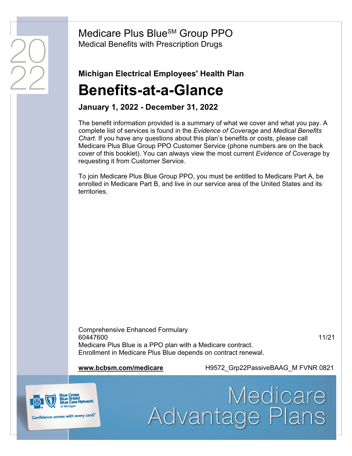Medicare Plus Blue<sup>SM</sup> Group PPO Medical Benefits with Prescription Drugs

## Michigan Electrical Employees' Health Plan Benefits-at-a-Glance

#### January 1, 2022 - December 31, 2022

The benefit information provided is a summary of what we cover and what you pay. A complete list of services is found in the Evidence of Coverage and Medical Benefits Chart. If you have any questions about this plan's benefits or costs, please call Medicare Plus Blue Group PPO Customer Service (phone numbers are on the back cover of this booklet). You can always view the most current *Evidence of Coverage* by requesting it from Customer Service.

To join Medicare Plus Blue Group PPO, you must be entitled to Medicare Part A, be enrolled in Medicare Part B, and live in our service area of the United States and its territories.

Comprehensive Enhanced Formulary 60447600 11/21 Medicare Plus Blue is a PPO plan with a Medicare contract. Enrollment in Medicare Plus Blue depends on contract renewal.

www.bcbsm.com/medicare The H9572 Grp22PassiveBAAG\_M FVNR 0821

Advantage Plans

Medicare



Confidence comes with every card.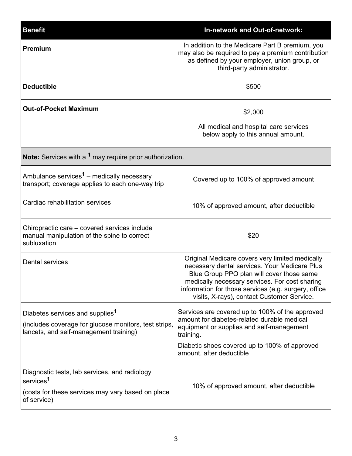| <b>Benefit</b>                                                                                                                                 | <b>In-network and Out-of-network:</b>                                                                                                                                                                                                                                                                 |  |
|------------------------------------------------------------------------------------------------------------------------------------------------|-------------------------------------------------------------------------------------------------------------------------------------------------------------------------------------------------------------------------------------------------------------------------------------------------------|--|
| <b>Premium</b>                                                                                                                                 | In addition to the Medicare Part B premium, you<br>may also be required to pay a premium contribution<br>as defined by your employer, union group, or<br>third-party administrator.                                                                                                                   |  |
| <b>Deductible</b>                                                                                                                              | \$500                                                                                                                                                                                                                                                                                                 |  |
| <b>Out-of-Pocket Maximum</b>                                                                                                                   | \$2,000                                                                                                                                                                                                                                                                                               |  |
|                                                                                                                                                | All medical and hospital care services<br>below apply to this annual amount.                                                                                                                                                                                                                          |  |
| <b>Note:</b> Services with a <sup>1</sup> may require prior authorization.                                                                     |                                                                                                                                                                                                                                                                                                       |  |
| Ambulance services <sup>1</sup> – medically necessary<br>transport; coverage applies to each one-way trip                                      | Covered up to 100% of approved amount                                                                                                                                                                                                                                                                 |  |
| Cardiac rehabilitation services                                                                                                                | 10% of approved amount, after deductible                                                                                                                                                                                                                                                              |  |
| Chiropractic care – covered services include<br>manual manipulation of the spine to correct<br>subluxation                                     | \$20                                                                                                                                                                                                                                                                                                  |  |
| <b>Dental services</b>                                                                                                                         | Original Medicare covers very limited medically<br>necessary dental services. Your Medicare Plus<br>Blue Group PPO plan will cover those same<br>medically necessary services. For cost sharing<br>information for those services (e.g. surgery, office<br>visits, X-rays), contact Customer Service. |  |
| Diabetes services and supplies <sup>1</sup><br>(includes coverage for glucose monitors, test strips,<br>lancets, and self-management training) | Services are covered up to 100% of the approved<br>amount for diabetes-related durable medical<br>equipment or supplies and self-management<br>training.<br>Diabetic shoes covered up to 100% of approved<br>amount, after deductible                                                                 |  |
| Diagnostic tests, lab services, and radiology<br>services <sup>1</sup><br>(costs for these services may vary based on place<br>of service)     | 10% of approved amount, after deductible                                                                                                                                                                                                                                                              |  |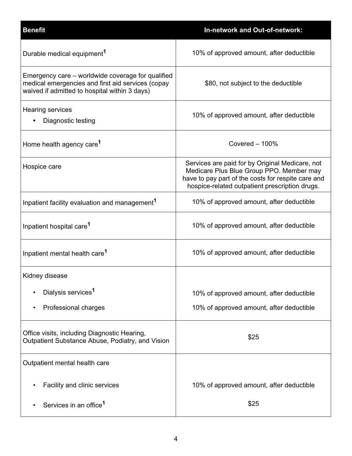| <b>Benefit</b>                                                                                                                                          | <b>In-network and Out-of-network:</b>                                                                                                                                                               |
|---------------------------------------------------------------------------------------------------------------------------------------------------------|-----------------------------------------------------------------------------------------------------------------------------------------------------------------------------------------------------|
| Durable medical equipment <sup>1</sup>                                                                                                                  | 10% of approved amount, after deductible                                                                                                                                                            |
| Emergency care – worldwide coverage for qualified<br>medical emergencies and first aid services (copay<br>waived if admitted to hospital within 3 days) | \$80, not subject to the deductible                                                                                                                                                                 |
| Hearing services<br>Diagnostic testing                                                                                                                  | 10% of approved amount, after deductible                                                                                                                                                            |
| Home health agency care <sup>1</sup>                                                                                                                    | Covered $-100\%$                                                                                                                                                                                    |
| Hospice care                                                                                                                                            | Services are paid for by Original Medicare, not<br>Medicare Plus Blue Group PPO. Member may<br>have to pay part of the costs for respite care and<br>hospice-related outpatient prescription drugs. |
| Inpatient facility evaluation and management <sup>1</sup>                                                                                               | 10% of approved amount, after deductible                                                                                                                                                            |
| Inpatient hospital care <sup>1</sup>                                                                                                                    | 10% of approved amount, after deductible                                                                                                                                                            |
| Inpatient mental health care <sup>1</sup>                                                                                                               | 10% of approved amount, after deductible                                                                                                                                                            |
| Kidney disease                                                                                                                                          |                                                                                                                                                                                                     |
| Dialysis services <sup>1</sup>                                                                                                                          | 10% of approved amount, after deductible                                                                                                                                                            |
| Professional charges<br>٠                                                                                                                               | 10% of approved amount, after deductible                                                                                                                                                            |
| Office visits, including Diagnostic Hearing,<br>Outpatient Substance Abuse, Podiatry, and Vision                                                        | \$25                                                                                                                                                                                                |
| Outpatient mental health care                                                                                                                           |                                                                                                                                                                                                     |
| Facility and clinic services                                                                                                                            | 10% of approved amount, after deductible                                                                                                                                                            |
| Services in an office <sup>1</sup>                                                                                                                      | \$25                                                                                                                                                                                                |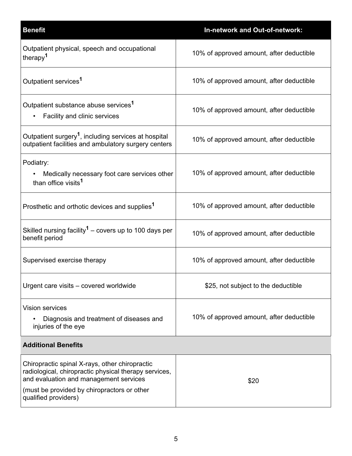| <b>Benefit</b>                                                                                                                                                                                                           | <b>In-network and Out-of-network:</b>    |  |
|--------------------------------------------------------------------------------------------------------------------------------------------------------------------------------------------------------------------------|------------------------------------------|--|
| Outpatient physical, speech and occupational<br>therapy <sup>1</sup>                                                                                                                                                     | 10% of approved amount, after deductible |  |
| Outpatient services <sup>1</sup>                                                                                                                                                                                         | 10% of approved amount, after deductible |  |
| Outpatient substance abuse services <sup>1</sup><br>Facility and clinic services                                                                                                                                         | 10% of approved amount, after deductible |  |
| Outpatient surgery <sup>1</sup> , including services at hospital<br>outpatient facilities and ambulatory surgery centers                                                                                                 | 10% of approved amount, after deductible |  |
| Podiatry:<br>• Medically necessary foot care services other<br>than office visits <sup>1</sup>                                                                                                                           | 10% of approved amount, after deductible |  |
| Prosthetic and orthotic devices and supplies <sup>1</sup>                                                                                                                                                                | 10% of approved amount, after deductible |  |
| Skilled nursing facility <sup>1</sup> – covers up to 100 days per<br>benefit period                                                                                                                                      | 10% of approved amount, after deductible |  |
| Supervised exercise therapy                                                                                                                                                                                              | 10% of approved amount, after deductible |  |
| Urgent care visits - covered worldwide                                                                                                                                                                                   | \$25, not subject to the deductible      |  |
| <b>Vision services</b><br>Diagnosis and treatment of diseases and<br>injuries of the eye                                                                                                                                 | 10% of approved amount, after deductible |  |
| <b>Additional Benefits</b>                                                                                                                                                                                               |                                          |  |
| Chiropractic spinal X-rays, other chiropractic<br>radiological, chiropractic physical therapy services,<br>and evaluation and management services<br>(must be provided by chiropractors or other<br>qualified providers) | \$20                                     |  |
|                                                                                                                                                                                                                          |                                          |  |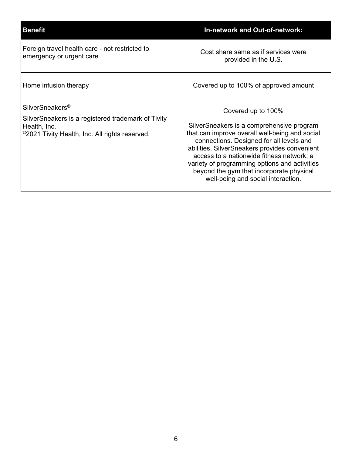| <b>Benefit</b>                                                                                                                                      | <b>In-network and Out-of-network:</b>                                                                                                                                                                                                                                                                                                                                                          |
|-----------------------------------------------------------------------------------------------------------------------------------------------------|------------------------------------------------------------------------------------------------------------------------------------------------------------------------------------------------------------------------------------------------------------------------------------------------------------------------------------------------------------------------------------------------|
| Foreign travel health care - not restricted to<br>emergency or urgent care                                                                          | Cost share same as if services were<br>provided in the U.S.                                                                                                                                                                                                                                                                                                                                    |
| Home infusion therapy                                                                                                                               | Covered up to 100% of approved amount                                                                                                                                                                                                                                                                                                                                                          |
| SilverSneakers <sup>®</sup><br>SilverSneakers is a registered trademark of Tivity<br>Health, Inc.<br>©2021 Tivity Health, Inc. All rights reserved. | Covered up to 100%<br>SilverSneakers is a comprehensive program<br>that can improve overall well-being and social<br>connections. Designed for all levels and<br>abilities, SilverSneakers provides convenient<br>access to a nationwide fitness network, a<br>variety of programming options and activities<br>beyond the gym that incorporate physical<br>well-being and social interaction. |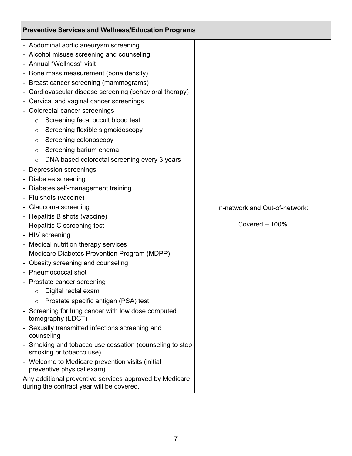| <b>Preventive Services and Wellness/Education Programs</b>                                                                                                                                                                                                                                                                                                                                                                                                                                                                                                                                                                                                                                                                                                                                                                                                                                                                                                                                                                                                                             |                                                    |  |
|----------------------------------------------------------------------------------------------------------------------------------------------------------------------------------------------------------------------------------------------------------------------------------------------------------------------------------------------------------------------------------------------------------------------------------------------------------------------------------------------------------------------------------------------------------------------------------------------------------------------------------------------------------------------------------------------------------------------------------------------------------------------------------------------------------------------------------------------------------------------------------------------------------------------------------------------------------------------------------------------------------------------------------------------------------------------------------------|----------------------------------------------------|--|
| - Abdominal aortic aneurysm screening<br>- Alcohol misuse screening and counseling<br>- Annual "Wellness" visit<br>- Bone mass measurement (bone density)<br>- Breast cancer screening (mammograms)<br>Cardiovascular disease screening (behavioral therapy)<br>- Cervical and vaginal cancer screenings<br>- Colorectal cancer screenings<br>Screening fecal occult blood test<br>$\circ$<br>Screening flexible sigmoidoscopy<br>$\circ$<br>Screening colonoscopy<br>$\circ$<br>Screening barium enema<br>$\circ$<br>DNA based colorectal screening every 3 years<br>$\circ$<br>- Depression screenings<br>- Diabetes screening<br>- Diabetes self-management training<br>- Flu shots (vaccine)<br>- Glaucoma screening<br>- Hepatitis B shots (vaccine)<br>- Hepatitis C screening test<br>- HIV screening<br>- Medical nutrition therapy services<br>- Medicare Diabetes Prevention Program (MDPP)<br>- Obesity screening and counseling<br>- Pneumococcal shot<br>- Prostate cancer screening<br>Digital rectal exam<br>$\circ$<br>Prostate specific antigen (PSA) test<br>$\circ$ | In-network and Out-of-network:<br>Covered $-100\%$ |  |
|                                                                                                                                                                                                                                                                                                                                                                                                                                                                                                                                                                                                                                                                                                                                                                                                                                                                                                                                                                                                                                                                                        |                                                    |  |
| - Screening for lung cancer with low dose computed<br>tomography (LDCT)                                                                                                                                                                                                                                                                                                                                                                                                                                                                                                                                                                                                                                                                                                                                                                                                                                                                                                                                                                                                                |                                                    |  |
| - Sexually transmitted infections screening and<br>counseling<br>- Smoking and tobacco use cessation (counseling to stop<br>smoking or tobacco use)<br>- Welcome to Medicare prevention visits (initial<br>preventive physical exam)<br>Any additional preventive services approved by Medicare<br>during the contract year will be covered.                                                                                                                                                                                                                                                                                                                                                                                                                                                                                                                                                                                                                                                                                                                                           |                                                    |  |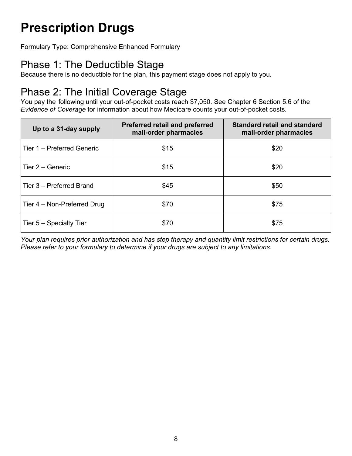# Prescription Drugs

Formulary Type: Comprehensive Enhanced Formulary

### Phase 1: The Deductible Stage

Because there is no deductible for the plan, this payment stage does not apply to you.

#### Phase 2: The Initial Coverage Stage

You pay the following until your out-of-pocket costs reach \$7,050. See Chapter 6 Section 5.6 of the Evidence of Coverage for information about how Medicare counts your out-of-pocket costs.

| Up to a 31-day supply       | <b>Preferred retail and preferred</b><br>mail-order pharmacies | <b>Standard retail and standard</b><br>mail-order pharmacies |
|-----------------------------|----------------------------------------------------------------|--------------------------------------------------------------|
| Tier 1 - Preferred Generic  | \$15                                                           | \$20                                                         |
| Tier 2 - Generic            | \$15                                                           | \$20                                                         |
| Tier 3 - Preferred Brand    | \$45                                                           | \$50                                                         |
| Tier 4 – Non-Preferred Drug | \$70                                                           | \$75                                                         |
| Tier 5 - Specialty Tier     | \$70                                                           | \$75                                                         |

Your plan requires prior authorization and has step therapy and quantity limit restrictions for certain drugs. Please refer to your formulary to determine if your drugs are subject to any limitations.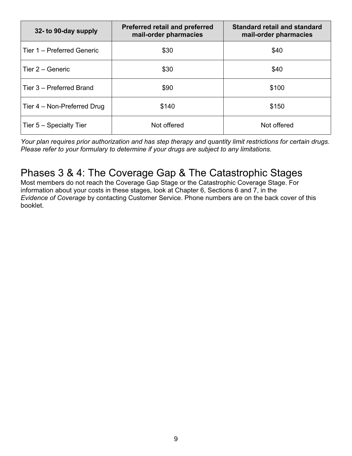| 32- to 90-day supply        | <b>Preferred retail and preferred</b><br>mail-order pharmacies | <b>Standard retail and standard</b><br>mail-order pharmacies |
|-----------------------------|----------------------------------------------------------------|--------------------------------------------------------------|
| Tier 1 - Preferred Generic  | \$30                                                           | \$40                                                         |
| Tier 2 - Generic            | \$30                                                           | \$40                                                         |
| Tier 3 - Preferred Brand    | \$90                                                           | \$100                                                        |
| Tier 4 - Non-Preferred Drug | \$140                                                          | \$150                                                        |
| Tier 5 – Specialty Tier     | Not offered                                                    | Not offered                                                  |

Your plan requires prior authorization and has step therapy and quantity limit restrictions for certain drugs. Please refer to your formulary to determine if your drugs are subject to any limitations.

### Phases 3 & 4: The Coverage Gap & The Catastrophic Stages

Most members do not reach the Coverage Gap Stage or the Catastrophic Coverage Stage. For information about your costs in these stages, look at Chapter 6, Sections 6 and 7, in the Evidence of Coverage by contacting Customer Service. Phone numbers are on the back cover of this booklet.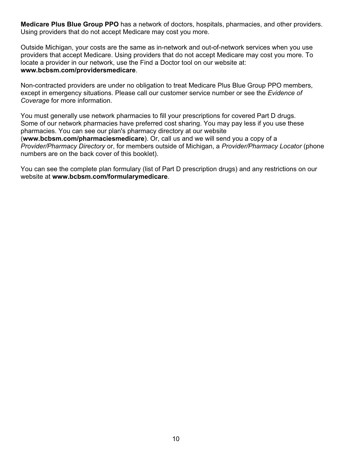Medicare Plus Blue Group PPO has a network of doctors, hospitals, pharmacies, and other providers. Using providers that do not accept Medicare may cost you more.

Outside Michigan, your costs are the same as in-network and out-of-network services when you use providers that accept Medicare. Using providers that do not accept Medicare may cost you more. To locate a provider in our network, use the Find a Doctor tool on our website at: www.bcbsm.com/providersmedicare.

Non-contracted providers are under no obligation to treat Medicare Plus Blue Group PPO members, except in emergency situations. Please call our customer service number or see the Evidence of Coverage for more information.

You must generally use network pharmacies to fill your prescriptions for covered Part D drugs. Some of our network pharmacies have preferred cost sharing. You may pay less if you use these pharmacies. You can see our plan's pharmacy directory at our website (www.bcbsm.com/pharmaciesmedicare). Or, call us and we will send you a copy of a Provider/Pharmacy Directory or, for members outside of Michigan, a Provider/Pharmacy Locator (phone numbers are on the back cover of this booklet).

You can see the complete plan formulary (list of Part D prescription drugs) and any restrictions on our website at www.bcbsm.com/formularymedicare.